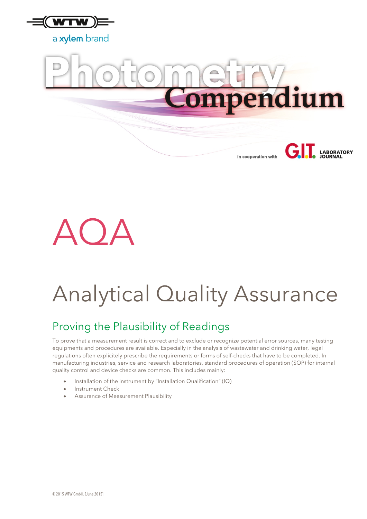



in cooperation with

**LABORATORY** 



# Analytical Quality Assurance

### Proving the Plausibility of Readings

To prove that a measurement result is correct and to exclude or recognize potential error sources, many testing equipments and procedures are available. Especially in the analysis of wastewater and drinking water, legal regulations often explicitely prescribe the requirements or forms of self-checks that have to be completed. In manufacturing industries, service and research laboratories, standard procedures of operation (SOP) for internal quality control and device checks are common. This includes mainly:

- Installation of the instrument by "Installation Qualification" (IQ)
- Instrument Check
- Assurance of Measurement Plausibility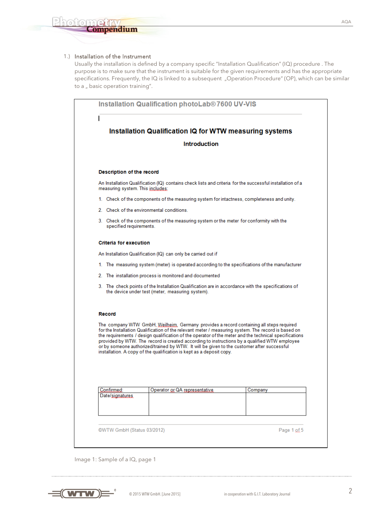### 1.) Installation of the Instrument

Usually the installation is defined by a company specific "Installation Qualification" (IQ) procedure . The purpose is to make sure that the instrument is suitable for the given requirements and has the appropriate specifications. Frequently, the IQ is linked to a subsequent "Operation Procedure" (OP), which can be similar to a " basic operation training".

|                               |                                                                                            |                                                                                         | Installation Qualification IQ for WTW measuring systems                                                                                                                                                                                                                                                                                                                                                                                                                                               |  |  |  |
|-------------------------------|--------------------------------------------------------------------------------------------|-----------------------------------------------------------------------------------------|-------------------------------------------------------------------------------------------------------------------------------------------------------------------------------------------------------------------------------------------------------------------------------------------------------------------------------------------------------------------------------------------------------------------------------------------------------------------------------------------------------|--|--|--|
|                               |                                                                                            | <b>Introduction</b>                                                                     |                                                                                                                                                                                                                                                                                                                                                                                                                                                                                                       |  |  |  |
|                               | <b>Description of the record</b>                                                           |                                                                                         |                                                                                                                                                                                                                                                                                                                                                                                                                                                                                                       |  |  |  |
|                               | measuring system. This includes:                                                           |                                                                                         | An Installation Qualification (IQ) contains check lists and criteria for the successful installation of a                                                                                                                                                                                                                                                                                                                                                                                             |  |  |  |
|                               | 1. Check of the components of the measuring system for intactness, completeness and unity. |                                                                                         |                                                                                                                                                                                                                                                                                                                                                                                                                                                                                                       |  |  |  |
|                               | 2. Check of the environmental conditions.                                                  |                                                                                         |                                                                                                                                                                                                                                                                                                                                                                                                                                                                                                       |  |  |  |
|                               | specified requirements.                                                                    | 3. Check of the components of the measuring system or the meter for conformity with the |                                                                                                                                                                                                                                                                                                                                                                                                                                                                                                       |  |  |  |
| Criteria for execution        |                                                                                            |                                                                                         |                                                                                                                                                                                                                                                                                                                                                                                                                                                                                                       |  |  |  |
|                               |                                                                                            | An Installation Qualification (IQ) can only be carried out if                           |                                                                                                                                                                                                                                                                                                                                                                                                                                                                                                       |  |  |  |
|                               |                                                                                            |                                                                                         | 1. The measuring system (meter) is operated according to the specifications of the manufacturer                                                                                                                                                                                                                                                                                                                                                                                                       |  |  |  |
|                               |                                                                                            | 2. The installation process is monitored and documented                                 |                                                                                                                                                                                                                                                                                                                                                                                                                                                                                                       |  |  |  |
|                               |                                                                                            | the device under test (meter, measuring system).                                        | 3. The check points of the Installation Qualification are in accordance with the specifications of                                                                                                                                                                                                                                                                                                                                                                                                    |  |  |  |
| Record                        |                                                                                            |                                                                                         |                                                                                                                                                                                                                                                                                                                                                                                                                                                                                                       |  |  |  |
|                               |                                                                                            | installation. A copy of the qualification is kept as a deposit copy.                    | The company WTW GmbH, Weilheim, Germany provides a record containing all steps required<br>for the Installation Qualification of the relevant meter / measuring system. The record is based on<br>the requirements / design qualification of the operator of the meter and the technical specifications<br>provided by WTW. The record is created according to instructions by a qualified WTW employee<br>or by someone authorized/trained by WTW. It will be given to the customer after successful |  |  |  |
|                               |                                                                                            |                                                                                         |                                                                                                                                                                                                                                                                                                                                                                                                                                                                                                       |  |  |  |
| Confirmed:<br>Date/signatures |                                                                                            | Operator or QA representative                                                           | Company                                                                                                                                                                                                                                                                                                                                                                                                                                                                                               |  |  |  |
|                               |                                                                                            |                                                                                         |                                                                                                                                                                                                                                                                                                                                                                                                                                                                                                       |  |  |  |
|                               |                                                                                            |                                                                                         |                                                                                                                                                                                                                                                                                                                                                                                                                                                                                                       |  |  |  |

Image 1: Sample of a IQ, page 1

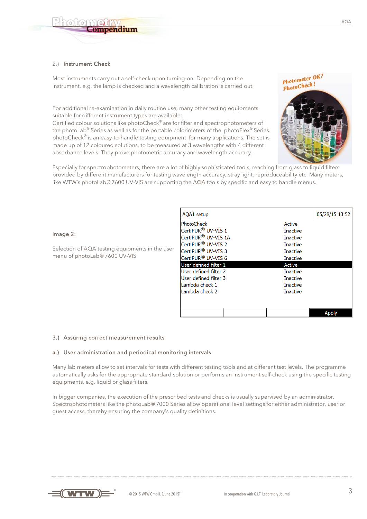### 2.) Instrument Check

ompendium

Most instruments carry out a self-check upon turning-on: Depending on the instrument, e.g. the lamp is checked and a wavelength calibration is carried out.

For additional re-examination in daily routine use, many other testing equipments suitable for different instrument types are available:

Certified colour solutions like photoCheck® are for filter and spectrophotometers of the photoLab® Series as well as for the portable colorimeters of the photoFlex® Series. photoCheck® is an easy-to-handle testing equipment for many applications. The set is made up of 12 coloured solutions, to be measured at 3 wavelengths with 4 different absorbance levels. They prove photometric accuracy and wavelength accuracy.

Especially for spectrophotometers, there are a lot of highly sophisticated tools, reaching from glass to liquid filters provided by different manufacturers for testing wavelength accuracy, stray light, reproduceability etc. Many meters, like WTW's photoLab® 7600 UV-VIS are supporting the AQA tools by specific and easy to handle menus.

### Image 2:

Selection of AQA testing equipments in the user menu of photoLab® 7600 UV-VIS

| AQA1 setup                      |                 | 05/28/15 13:52 |
|---------------------------------|-----------------|----------------|
| <b>PhotoCheck</b>               | Active          |                |
| CertiPUR <sup>®</sup> UV-VIS 1  | <b>Inactive</b> |                |
| CertiPUR <sup>®</sup> UV-VIS 1A | Inactive        |                |
| CertiPUR <sup>®</sup> UV-VIS 2  | <b>Inactive</b> |                |
| CertiPUR <sup>®</sup> UV-VIS 3  | Inactive        |                |
| CertiPUR <sup>®</sup> UV-VIS 6  | <b>Inactive</b> |                |
| $\sf I$ User defined filter $1$ | Active          |                |
| User defined filter 2           | <b>Inactive</b> |                |
| User defined filter 3           | Inactive        |                |
| Lambda check 1                  | Inactive        |                |
| Lambda check 2                  | <b>Inactive</b> |                |
|                                 |                 |                |
|                                 |                 |                |
|                                 |                 | Apply          |

### 3.) Assuring correct measurement results

### a.) User administration and periodical monitoring intervals

Many lab meters allow to set intervals for tests with different testing tools and at different test levels. The programme automatically asks for the appropriate standard solution or performs an instrument self-check using the specific testing equipments, e.g. liquid or glass filters.

In bigger companies, the execution of the prescribed tests and checks is usually supervised by an administrator. Spectrophotometers like the photoLab® 7000 Series allow operational level settings for either administrator, user or guest access, thereby ensuring the company's quality definitions.



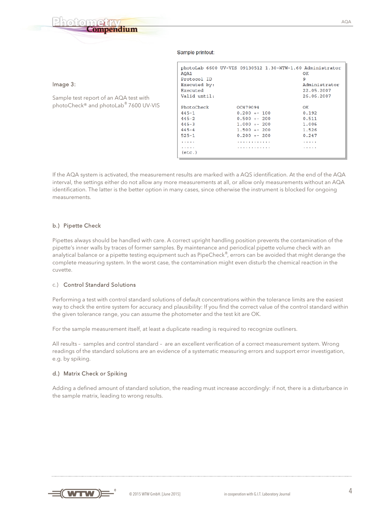## ompendium

### Sample printout:

|                                        |              |                 | photoLab 6600 UV-VIS 09130512 1.30-WTW-1.60 Administrator |
|----------------------------------------|--------------|-----------------|-----------------------------------------------------------|
|                                        | AOA1         |                 | OК                                                        |
|                                        | Protocol ID  |                 | 9                                                         |
| Image 3:                               | Executed by: |                 | Administrator                                             |
|                                        | Executed     |                 | 22.05.2007                                                |
| Sample test report of an AQA test with | Valid until: |                 | 26.06.2007                                                |
| photoCheck® and photoLab® 7600 UV-VIS  | PhotoCheck   | OC479094        | OK                                                        |
|                                        | $445 - 1$    | $0.200 + - 100$ | 0.192                                                     |
|                                        | $445 - 2$    | $0.500 + - 200$ | 0.511                                                     |
|                                        | $445 - 3$    | $1.000 + - 200$ | 1,006                                                     |
|                                        | $445 - 4$    | $1.500 + - 200$ | 1.526                                                     |
|                                        | $525 - 1$    | $0.200 + - 200$ | 0.247                                                     |
|                                        | .            | .               | .                                                         |
|                                        | .<br>(etc.   | .               | .                                                         |
|                                        |              |                 |                                                           |

If the AQA system is activated, the measurement results are marked with a AQS identification. At the end of the AQA interval, the settings either do not allow any more measurements at all, or allow only measurements without an AQA identification. The latter is the better option in many cases, since otherwise the instrument is blocked for ongoing measurements.

### b.) Pipette Check

Pipettes always should be handled with care. A correct upright handling position prevents the contamination of the pipette's inner walls by traces of former samples. By maintenance and periodical pipette volume check with an analytical balance or a pipette testing equipment such as PipeCheck®, errors can be avoided that might derange the complete measuring system. In the worst case, the contamination might even disturb the chemical reaction in the cuvette.

### c.) Control Standard Solutions

Performing a test with control standard solutions of default concentrations within the tolerance limits are the easiest way to check the entire system for accuracy and plausibility: If you find the correct value of the control standard within the given tolerance range, you can assume the photometer and the test kit are OK.

For the sample measurement itself, at least a duplicate reading is required to recognize outliners.

All results – samples and control standard – are an excellent verification of a correct measurement system. Wrong readings of the standard solutions are an evidence of a systematic measuring errors and support error investigation, e.g. by spiking.

### d.) Matrix Check or Spiking

Adding a defined amount of standard solution, the reading must increase accordingly: if not, there is a disturbance in the sample matrix, leading to wrong results.